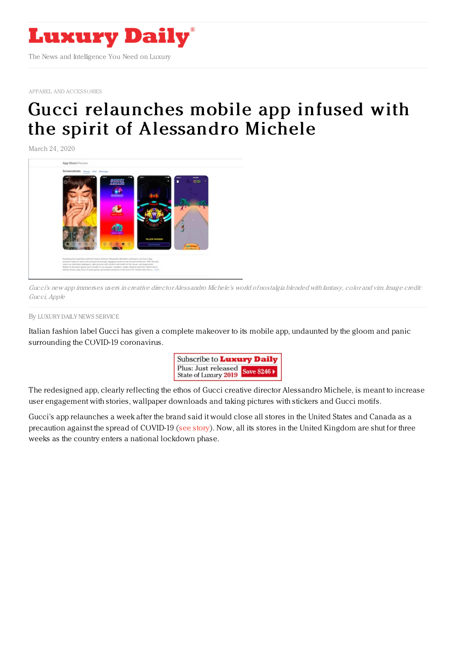

APPAREL AND [ACCESSORIES](https://www.luxurydaily.com/category/sectors/apparel-and-accessories/)

## Gucci relaunches mobile app infused with the spirit of [Alessandro](https://www.luxurydaily.com/gucci-relaunches-mobile-app-infused-with-the-spirit-of-alessandro-michele/) Michele

March 24, 2020



Gucci's new app immerses users in creative directorAlessandro Michele's world of nostalgia blended with fantasy, color and vim. Image credit: Gucci, Apple

By LUXURY DAILY NEWS [SERVICE](file:///author/luxury-daily-news-service)

Italian fashion label Gucci has given a complete makeover to its mobile app, undaunted by the gloom and panic surrounding the COVID-19 coronavirus.



The redesigned app, clearly reflecting the ethos of Gucci creative director Alessandro Michele, is meant to increase user engagement with stories, wallpaper downloads and taking pictures with stickers and Gucci motifs.

Gucci's app relaunches a week after the brand said it would close all stores in the United States and Canada as a precaution against the spread of COVID-19 (see [story](https://www.luxurydaily.com/gucci-closes-all-stores-in-north-america-as-a-precaution-2/)). Now, all its stores in the United Kingdom are shut for three weeks as the country enters a national lockdown phase.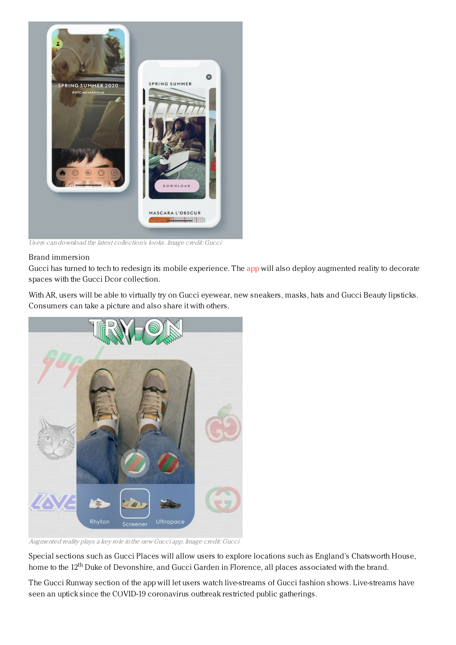

Users can download the latest collection's looks. Image credit: Gucci

## Brand immersion

Gucci has turned to tech to redesign its mobile experience. The [app](https://apps.apple.com/lc/app/gucci/id334876990) will also deploy augmented reality to decorate spaces with the Gucci Dcor collection.

With AR, users will be able to virtually try on Gucci eyewear, new sneakers, masks, hats and Gucci Beauty lipsticks. Consumers can take a picture and also share it with others.



Augmented reality plays <sup>a</sup> key role in the new Gucci app. Image credit: Gucci

Special sections such as Gucci Places will allow users to explore locations such as England's Chatsworth House, home to the 12<sup>th</sup> Duke of Devonshire, and Gucci Garden in Florence, all places associated with the brand.

The Gucci Runway section of the app will let users watch live-streams of Gucci fashion shows. Live-streams have seen an uptick since the COVID-19 coronavirus outbreak restricted public gatherings.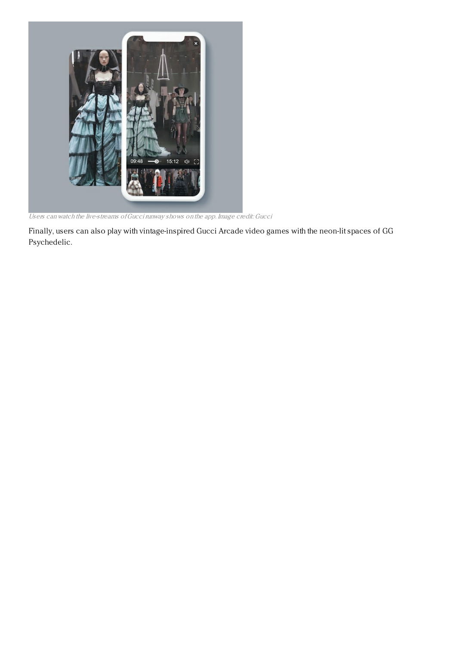

Users can watch the live-streams ofGuccirunway shows on the app. Image credit: Gucci

Finally, users can also play with vintage-inspired Gucci Arcade video games with the neon-lit spaces of GG Psychedelic.